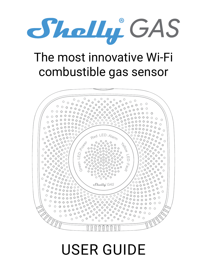

# The most innovative Wi-Fi combustible gas sensor



# USER GUIDE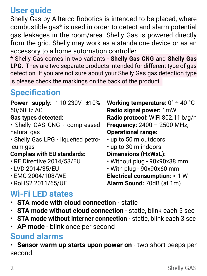**User guide**

Shelly Gas by Allterco Robotics is intended to be placed, where combustible gas\* is used in order to detect and alarm potential gas leakages in the room/area. Shelly Gas is powered directly from the grid. Shelly may work as a standalone device or as an accessory to a home automation controller.

\* Shelly Gas comes in two variants - **Shelly Gas CNG** and **Shelly Gas LPG.** They are two separate products intended for different type of gas detection. If you are not sure about your Shelly Gas gas detection type is please check the markings on the back of the product.

# **Specification**

**Power supply:** 110-230V ±10% 50/60Hz AC

#### **Gas types detected:**

- Shelly GAS CNG compressed natural gas
- Shelly Gas LPG liquefied petroleum gas

#### **Complies with EU standards:**

- RE Directive 2014/53/EU
- LVD 2014/35/EU
- EMC 2004/108/WE
- RoHS2 2011/65/UE

# **Wi-Fi LED states**

- **• STA mode with cloud connection** static
- **• STA mode without cloud connection** static, blink each 5 sec
- **• STA mode without interner connection** static, blink each 3 sec
- **• AP mode** blink once per second

## **Sound alarms**

**• Sensor warm up starts upon power on** - two short beeps per second.

**Working temperature:** 0° ÷ 40 °C **Radio signal power:** 1mW **Radio protocol:** WiFi 802.11 b/g/n **Frequency:** 2400 – 2500 MHz; **Operational range:**

- up to 50 m outdoors
- up to 30 m indoors

**Dimensions (HxWxL):**

- Without plug 90x90x38 mm
- With plug 90x90x60 mm

**Electrical consumption:** < 1 W **Alarm Sound:** 70dB (at 1m)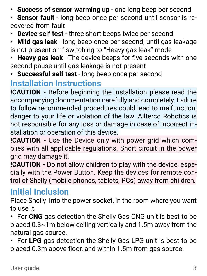- **• Success of sensor warming up** оne long beep per second
- **• Sensor fault** long beep once per second until sensor is recovered from fault
- **• Device self test** three short beeps twice per second
- **• Mild gas leak** long beep once per second, until gas leakage is not present or if switching to "Heavy gas leak" mode
- **• Heavy gas leak** The device beeps for five seconds with one second pause until gas leakage is not present
- **• Successful self test** long beep once per second

#### **Installation Instructions**

**!CAUTION -** Before beginning the installation please read the accompanying documentation carefully and completely. Failure to follow recommended procedures could lead to malfunction, danger to your life or violation of the law. Allterco Robotics is not responsible for any loss or damage in case of incorrect installation or operation of this device.

**!CAUTION -** Use the Device only with power grid which complies with all applicable regulations. Short circuit in the power grid may damage it.

**!CAUTION -** Do not allow children to play with the device, especially with the Power Button. Keep the devices for remote control of Shelly (mobile phones, tablets, PCs) away from children.

# **Initial Inclusion**

Place Shelly into the power socket, in the room where you want to use it.

**•** For **CNG** gas detection the Shelly Gas CNG unit is best to be placed 0.3~1m below ceiling vertically and 1.5m away from the natural gas source.

**•** For **LPG** gas detection the Shelly Gas LPG unit is best to be placed 0.3m above floor, and within 1.5m from gas source.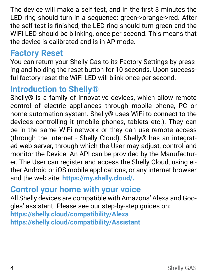The device will make a self test, and in the first 3 minutes the LED ring should turn in a sequence: green->orange->red. After the self test is finished, the LED ring should turn green and the WiFi LED should be blinking, once per second. This means that the device is calibrated and is in AP mode.

## **Factory Reset**

You can return your Shelly Gas to its Factory Settings by pressing and holding the reset button for 10 seconds. Upon successful factory reset the WiFi LED will blink once per second.

## **Introduction to Shelly®**

Shelly® is a family of innovative devices, which allow remote control of electric appliances through mobile phone, PC or home automation system. Shelly® uses WiFi to connect to the devices controlling it (mobile phones, tablets etc.). They can be in the same WiFi network or they can use remote access (through the Internet - Shelly Cloud). Shelly® has an integrated web server, through which the User may adjust, control and monitor the Device. An API can be provided by the Manufacturer. The User can register and access the Shelly Cloud, using either Android or iOS mobile applications, or any internet browser and the web site: **https://my.shelly.cloud/.**

# **Control your home with your voice**

All Shelly devices are compatible with Amazons' Alexa and Googles' assistant. Please see our step-by-step guides on: **https://shelly.cloud/compatibility/Alexa https://shelly.cloud/compatibility/Assistant**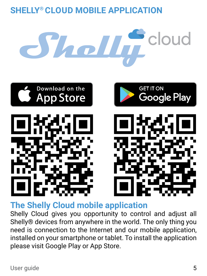# **SHELLY® CLOUD MOBILE APPLICATION**





**The Shelly Cloud mobile application**

Shelly Cloud gives you opportunity to control and adjust all Shelly® devices from anywhere in the world. The only thing you need is connection to the Internet and our mobile application, installed on your smartphone or tablet. To install the application please visit Google Play or App Store.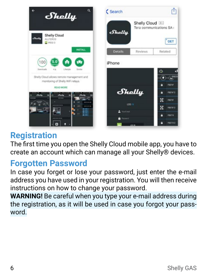

# **Registration**

The first time you open the Shelly Cloud mobile app, you have to create an account which can manage all your Shelly® devices.

# **Forgotten Password**

In case you forget or lose your password, just enter the e-mail address you have used in your registration. You will then receive instructions on how to change your password.

**WARNING!** Be careful when you type your e-mail address during the registration, as it will be used in case you forgot your password.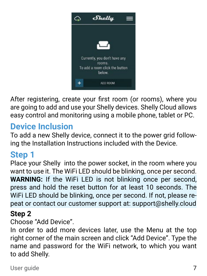

After registering, create your first room (or rooms), where you are going to add and use your Shelly devices. Shelly Cloud allows easy control and monitoring using a mobile phone, tablet or PC.

# **Device Inclusion**

To add a new Shelly device, connect it to the power grid following the Installation Instructions included with the Device.

# **Step 1**

Place your Shelly into the power socket, in the room where you want to use it. The WiFi LED should be blinking, once per second. **WARNING:** If the WiFi LED is not blinking once per second, press and hold the reset button for at least 10 seconds. The WiFi LED should be blinking, once per second. If not, please repeat or contact our customer support at: support@shelly.cloud

#### **Step 2**

#### Choose "Add Device".

In order to add more devices later, use the Menu at the top right corner of the main screen and click "Add Device". Type the name and password for the WiFi network, to which you want to add Shelly.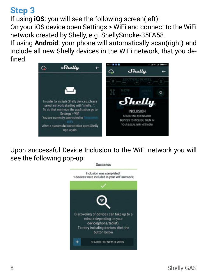### **Step 3**

fined.

If using **iOS**: you will see the following screen(left): On your iOS device open Settings > WiFi and connect to the WiFi network created by Shelly, e.g. ShellySmoke-35FA58. If using **Android**: your phone will automatically scan(right) and include all new Shelly devices in the WiFi network, that you de-



Upon successful Device Inclusion to the WiFi network you will see the following pop-up:

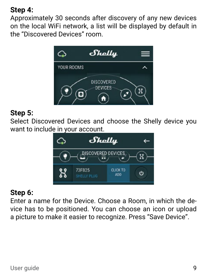#### **Step 4:**

Approximately 30 seconds after discovery of any new devices оn the local WiFi network, а list will be displayed by default in the "Discovered Devices" room.



#### **Step 5:**

Select Discovered Devices and choose the Shelly device you want to include in your account.



#### **Step 6:**

Enter a name for the Device. Choose a Room, in which the device has to be positioned. You can choose an icon or upload a picture to make it easier to recognize. Press "Save Device".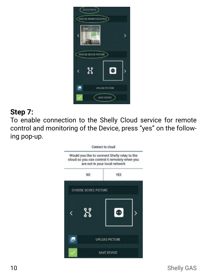

#### **Step 7:**

To enable connection to the Shelly Cloud service for remote control and monitoring of the Device, press "yes" on the following pop-up.

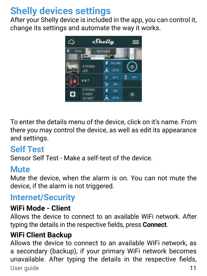# **Shelly devices settings**

After your Shelly device is included in the app, you can control it, change its settings and automate the way it works.



To enter the details menu of the device, click on it's name. From there you may control the device, as well as edit its appearance and settings.

# **Self Test**

Sensor Self Test - Make a self-test of the device.

## **Mute**

Mute the device, when the alarm is on. You can not mute the device, if the alarm is not triggered.

# **Internet/Security**

#### **WiFi Mode - Client**

Allows the device to connect to an available WiFi network. After typing the details in the respective fields, press **Connect**.

#### **WiFi Client Backup**

User quide 11 Allows the device to connect to an available WiFi network, as a secondary (backup), if your primary WiFi network becomes unavailable. After typing the details in the respective fields,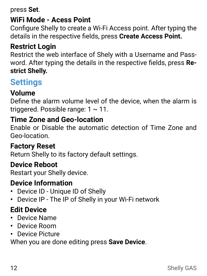press **Set**.

#### **WiFi Mode - Acess Point**

Configure Shelly to create a Wi-Fi Access point. After typing the details in the respective fields, press **Create Access Point.**

#### **Restrict Login**

Restrict the web interface of Shely with a Username and Password. After typing the details in the respective fields, press **Restrict Shelly.**

# **Settings**

#### **Volume**

Define the alarm volume level of the device, when the alarm is triggered. Possible range: 1 ~ 11.

#### **Time Zone and Geo-location**

Enable or Disable the automatic detection of Time Zone and Geo-location.

#### **Factory Reset**

Return Shelly to its factory default settings.

#### **Device Reboot**

Restart your Shelly device.

#### **Device Information**

- **•** Device ID Unique ID of Shelly
- **•** Device IP The IP of Shelly in your Wi-Fi network

#### **Edit Device**

- **•** Device Name
- **•** Device Room
- **•** Device Picture

When you are done editing press **Save Device**.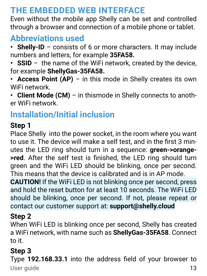## **THE EMBEDDED WEB INTERFACE**

Even without the mobile app Shelly can be set and controlled through a browser and connection of a mobile phone or tablet.

#### **Abbreviations used**

- **• Shelly-ID** consists of 6 or more characters. It may include numbers and letters, for example **35FA58.**
- **• SSID** the name of the WiFi network, created by the device, for example **ShellyGas-35FA58.**
- **• Access Point (AP)** in this mode in Shelly creates its own WiFi network.

**• Client Mode (CM)** – in thismode in Shelly connects to another WiFi network.

# **Installation/Initial inclusion**

#### **Step 1**

Place Shelly into the power socket, in the room where you want to use it. The device will make a self test, and in the first 3 minutes the LED ring should turn in a sequence: **green->orange- >red**. After the self test is finished, the LED ring should turn green and the WiFi LED should be blinking, once per second. This means that the device is calibrated and is in AP mode.

**CAUTION!** If the WiFi LED is not blinking once per second, press and hold the reset button for at least 10 seconds. The WiFi LED should be blinking, once per second. If not, please repeat or contact our customer support at: **support@shelly.cloud**

#### **Step 2**

When WiFi LED is blinking once per second, Shelly has created a WiFi network, with name such as **ShellyGas-35FA58**. Connect to it.

## **Step 3**

User quide 13 Type **192.168.33.1** into the address field of your browser to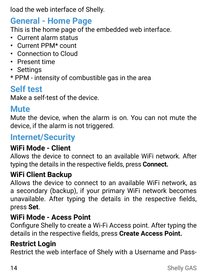load the web interface of Shelly.

# **General - Home Page**

This is the home page of the embedded web interface.

- **•** Current alarm status
- **•** Current PPM\* count
- **•** Connection to Cloud
- **•** Present time
- **•** Settings
- \* PPM intensity of combustible gas in the area

# **Self test**

Make a self-test of the device.

## **Mute**

Mute the device, when the alarm is on. You can not mute the device, if the alarm is not triggered.

## **Internet/Security**

#### **WiFi Mode - Client**

Allows the device to connect to an available WiFi network. After typing the details in the respective fields, press **Connect.**

#### **WiFi Client Backup**

Allows the device to connect to an available WiFi network, as a secondary (backup), if your primary WiFi network becomes unavailable. After typing the details in the respective fields, press **Set**.

#### **WiFi Mode - Acess Point**

Configure Shelly to create a Wi-Fi Access point. After typing the details in the respective fields, press **Create Access Point.**

#### **Restrict Login**

Restrict the web interface of Shely with a Username and Pass-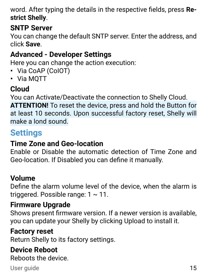word. After typing the details in the respective fields, press **Restrict Shelly**.

#### **SNTP Server**

You can change the default SNTP server. Enter the address, and click **Save**.

## **Advanced - Developer Settings**

Here you can change the action execution:

- **•** Via CoAP (CoIOT)
- **•** Via MQTT

## **Cloud**

You can Activate/Deactivate the connection to Shelly Cloud. **ATTENTION!** To reset the device, press and hold the Button for at least 10 seconds. Upon successful factory reset, Shelly will make a lond sound.

# **Settings**

## **Time Zone and Geo-location**

Enable or Disable the automatic detection of Time Zone and Geo-location. If Disabled you can define it manually.

#### **Volume**

Define the alarm volume level of the device, when the alarm is triggered. Possible range:  $1 \sim 11$ .

#### **Firmware Upgrade**

Shows present firmware version. If a newer version is available, you can update your Shelly by clicking Upload to install it.

#### **Factory reset**

Return Shelly to its factory settings.

#### **Device Reboot**

Reboots the device.

#### User quide 15